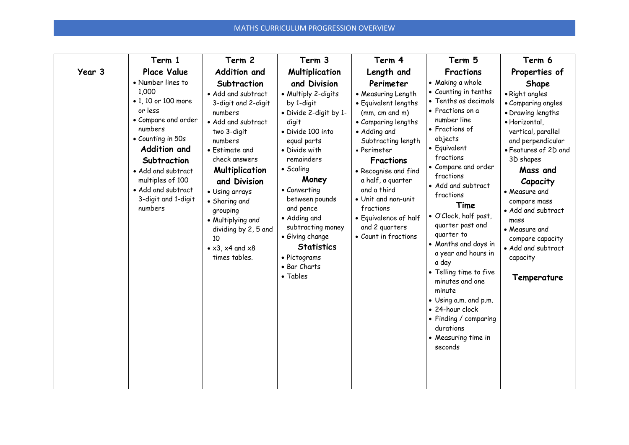|        | Term 1                                                                                                                                                                                                                                                      | Term 2                                                                                                                                                                                                                                                                                                                                 | Term 3                                                                                                                                                                                                                                                                                                                                                | Term 4                                                                                                                                                                                                                                                                                                                                | Term 5                                                                                                                                                                                                                                                                                                                                                                                                                                                                                                                                     | Term 6                                                                                                                                                                                                                                                                                                                                           |
|--------|-------------------------------------------------------------------------------------------------------------------------------------------------------------------------------------------------------------------------------------------------------------|----------------------------------------------------------------------------------------------------------------------------------------------------------------------------------------------------------------------------------------------------------------------------------------------------------------------------------------|-------------------------------------------------------------------------------------------------------------------------------------------------------------------------------------------------------------------------------------------------------------------------------------------------------------------------------------------------------|---------------------------------------------------------------------------------------------------------------------------------------------------------------------------------------------------------------------------------------------------------------------------------------------------------------------------------------|--------------------------------------------------------------------------------------------------------------------------------------------------------------------------------------------------------------------------------------------------------------------------------------------------------------------------------------------------------------------------------------------------------------------------------------------------------------------------------------------------------------------------------------------|--------------------------------------------------------------------------------------------------------------------------------------------------------------------------------------------------------------------------------------------------------------------------------------------------------------------------------------------------|
| Year 3 | <b>Place Value</b>                                                                                                                                                                                                                                          | <b>Addition and</b>                                                                                                                                                                                                                                                                                                                    | <b>Multiplication</b>                                                                                                                                                                                                                                                                                                                                 | Length and                                                                                                                                                                                                                                                                                                                            | <b>Fractions</b>                                                                                                                                                                                                                                                                                                                                                                                                                                                                                                                           | Properties of                                                                                                                                                                                                                                                                                                                                    |
|        | • Number lines to<br>1,000<br>• 1, 10 or 100 more<br>or less<br>• Compare and order<br>numbers<br>• Counting in 50s<br><b>Addition and</b><br>Subtraction<br>• Add and subtract<br>multiples of 100<br>• Add and subtract<br>3-digit and 1-digit<br>numbers | Subtraction<br>• Add and subtract<br>3-digit and 2-digit<br>numbers<br>• Add and subtract<br>two 3-digit<br>numbers<br>• Estimate and<br>check answers<br>Multiplication<br>and Division<br>• Using arrays<br>• Sharing and<br>grouping<br>• Multiplying and<br>dividing by 2, 5 and<br>10<br>$\bullet$ x3, x4 and x8<br>times tables. | and Division<br>• Multiply 2-digits<br>by 1-digit<br>• Divide 2-digit by 1-<br>digit<br>· Divide 100 into<br>equal parts<br>• Divide with<br>remainders<br>• Scaling<br>Money<br>• Converting<br>between pounds<br>and pence<br>• Adding and<br>subtracting money<br>• Giving change<br><b>Statistics</b><br>• Pictograms<br>• Bar Charts<br>• Tables | Perimeter<br>• Measuring Length<br>• Equivalent lengths<br>(mm, cm and m)<br>• Comparing lengths<br>• Adding and<br>Subtracting length<br>• Perimeter<br>Fractions<br>• Recognise and find<br>a half, a guarter<br>and a third<br>• Unit and non-unit<br>fractions<br>• Equivalence of half<br>and 2 quarters<br>• Count in fractions | • Making a whole<br>• Counting in tenths<br>• Tenths as decimals<br>• Fractions on a<br>number line<br>• Fractions of<br>objects<br>• Equivalent<br>fractions<br>• Compare and order<br>fractions<br>• Add and subtract<br>fractions<br>Time<br>· O'Clock, half past,<br>quarter past and<br>quarter to<br>• Months and days in<br>a year and hours in<br>a day<br>• Telling time to five<br>minutes and one<br>minute<br>• Using a.m. and p.m.<br>• 24-hour clock<br>• Finding / comparing<br>durations<br>• Measuring time in<br>seconds | Shape<br>· Right angles<br>• Comparing angles<br>• Drawing lengths<br>· Horizontal,<br>vertical, parallel<br>and perpendicular<br>• Features of 2D and<br>3D shapes<br>Mass and<br>Capacity<br>• Measure and<br>compare mass<br>• Add and subtract<br>mass<br>• Measure and<br>compare capacity<br>• Add and subtract<br>capacity<br>Temperature |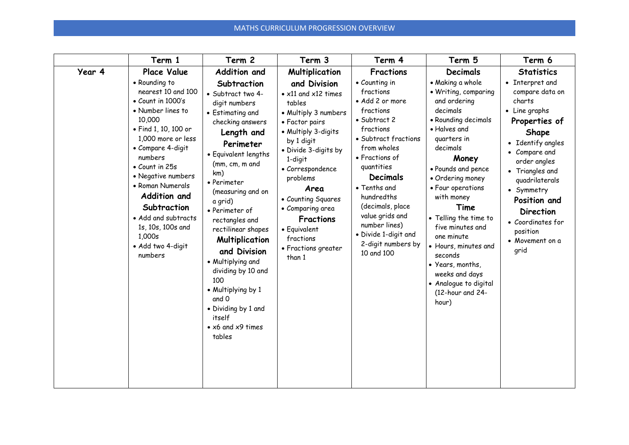|        | Term 1                                                                                                                                                                                                                                                                                                                                                                                       | Term 2                                                                                                                                                                                                                                                                                                                                                                                                                                                                                   | Term 3                                                                                                                                                                                                                                                                                                                                                               | Term 4                                                                                                                                                                                                                                                                                                                                                  | Term 5                                                                                                                                                                                                                                                                                                                                                                                                                                            | Term 6                                                                                                                                                                                                                                                                                                                         |
|--------|----------------------------------------------------------------------------------------------------------------------------------------------------------------------------------------------------------------------------------------------------------------------------------------------------------------------------------------------------------------------------------------------|------------------------------------------------------------------------------------------------------------------------------------------------------------------------------------------------------------------------------------------------------------------------------------------------------------------------------------------------------------------------------------------------------------------------------------------------------------------------------------------|----------------------------------------------------------------------------------------------------------------------------------------------------------------------------------------------------------------------------------------------------------------------------------------------------------------------------------------------------------------------|---------------------------------------------------------------------------------------------------------------------------------------------------------------------------------------------------------------------------------------------------------------------------------------------------------------------------------------------------------|---------------------------------------------------------------------------------------------------------------------------------------------------------------------------------------------------------------------------------------------------------------------------------------------------------------------------------------------------------------------------------------------------------------------------------------------------|--------------------------------------------------------------------------------------------------------------------------------------------------------------------------------------------------------------------------------------------------------------------------------------------------------------------------------|
| Year 4 | Place Value<br>• Rounding to<br>nearest 10 and 100<br>$\bullet$ Count in 1000's<br>• Number lines to<br>10,000<br>• Find 1, 10, 100 or<br>1,000 more or less<br>• Compare 4-digit<br>numbers<br>$\bullet$ Count in 25s<br>• Negative numbers<br>• Roman Numerals<br><b>Addition and</b><br>Subtraction<br>• Add and subtracts<br>1s, 10s, 100s and<br>1,000s<br>· Add two 4-digit<br>numbers | <b>Addition and</b><br>Subtraction<br>· Subtract two 4-<br>digit numbers<br>• Estimating and<br>checking answers<br>Length and<br>Perimeter<br>• Equivalent lengths<br>(mm, cm, m and<br>km)<br>• Perimeter<br>(measuring and on<br>a grid)<br>• Perimeter of<br>rectangles and<br>rectilinear shapes<br>Multiplication<br>and Division<br>• Multiplying and<br>dividing by 10 and<br>100<br>• Multiplying by 1<br>and 0<br>• Dividing by 1 and<br>itself<br>• x6 and x9 times<br>tables | <b>Multiplication</b><br>and Division<br>$\bullet$ x11 and x12 times<br>tables<br>• Multiply 3 numbers<br>• Factor pairs<br>• Multiply 3-digits<br>by 1 digit<br>• Divide 3-digits by<br>1-digit<br>• Correspondence<br>problems<br>Area<br>• Counting Squares<br>• Comparing area<br><b>Fractions</b><br>• Equivalent<br>fractions<br>• Fractions greater<br>than 1 | <b>Fractions</b><br>• Counting in<br>fractions<br>• Add 2 or more<br>fractions<br>• Subtract 2<br>fractions<br>• Subtract fractions<br>from wholes<br>• Fractions of<br>quantities<br><b>Decimals</b><br>• Tenths and<br>hundredths<br>(decimals, place<br>value grids and<br>number lines)<br>· Divide 1-digit and<br>2-digit numbers by<br>10 and 100 | <b>Decimals</b><br>• Making a whole<br>• Writing, comparing<br>and ordering<br>decimals<br>• Rounding decimals<br>· Halves and<br>quarters in<br>decimals<br>Money<br>• Pounds and pence<br>• Ordering money<br>• Four operations<br>with money<br>Time<br>• Telling the time to<br>five minutes and<br>one minute<br>• Hours, minutes and<br>seconds<br>• Years, months,<br>weeks and days<br>• Analogue to digital<br>(12-hour and 24-<br>hour) | <b>Statistics</b><br>• Interpret and<br>compare data on<br>charts<br>• Line graphs<br>Properties of<br>Shape<br>Identify angles<br>Compare and<br>$\bullet$<br>order angles<br>• Triangles and<br>quadrilaterals<br>• Symmetry<br>Position and<br><b>Direction</b><br>• Coordinates for<br>position<br>• Movement on a<br>grid |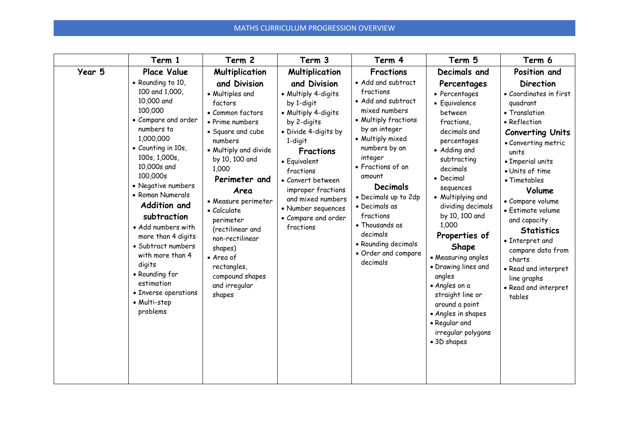|        | Term 1                                                                                                                                                                                                                                                                                                                                                                                                                                                                     | Term 2                                                                                                                                                                                                                                                                                                                                                                                          | Term 3                                                                                                                                                                                                                                                                                                                         | Term 4                                                                                                                                                                                                                                                                                                                                                                       | Term 5                                                                                                                                                                                                                                                                                                                                                                                                                                                                              | Term 6                                                                                                                                                                                                                                                                                                                                                                                                                                       |
|--------|----------------------------------------------------------------------------------------------------------------------------------------------------------------------------------------------------------------------------------------------------------------------------------------------------------------------------------------------------------------------------------------------------------------------------------------------------------------------------|-------------------------------------------------------------------------------------------------------------------------------------------------------------------------------------------------------------------------------------------------------------------------------------------------------------------------------------------------------------------------------------------------|--------------------------------------------------------------------------------------------------------------------------------------------------------------------------------------------------------------------------------------------------------------------------------------------------------------------------------|------------------------------------------------------------------------------------------------------------------------------------------------------------------------------------------------------------------------------------------------------------------------------------------------------------------------------------------------------------------------------|-------------------------------------------------------------------------------------------------------------------------------------------------------------------------------------------------------------------------------------------------------------------------------------------------------------------------------------------------------------------------------------------------------------------------------------------------------------------------------------|----------------------------------------------------------------------------------------------------------------------------------------------------------------------------------------------------------------------------------------------------------------------------------------------------------------------------------------------------------------------------------------------------------------------------------------------|
| Year 5 | <b>Place Value</b><br>• Rounding to 10,<br>100 and 1,000,<br>10,000 and<br>100,000<br>• Compare and order<br>numbers to<br>1,000,000<br>• Counting in 10s,<br>100s, 1,000s,<br>10,000s and<br>100,000s<br>• Negative numbers<br>• Roman Numerals<br><b>Addition and</b><br>subtraction<br>• Add numbers with<br>more than 4 digits<br>• Subtract numbers<br>with more than 4<br>digits<br>• Rounding for<br>estimation<br>• Inverse operations<br>• Multi-step<br>problems | Multiplication<br>and Division<br>• Multiples and<br>factors<br>• Common factors<br>• Prime numbers<br>• Square and cube<br>numbers<br>• Multiply and divide<br>by 10, 100 and<br>1,000<br>Perimeter and<br>Area<br>• Measure perimeter<br>• Calculate<br>perimeter<br>(rectilinear and<br>non-rectilinear<br>shapes)<br>• Area of<br>rectangles,<br>compound shapes<br>and irregular<br>shapes | <b>Multiplication</b><br>and Division<br>• Multiply 4-digits<br>by 1-digit<br>• Multiply 4-digits<br>by 2-digits<br>• Divide 4-digits by<br>1-digit<br><b>Fractions</b><br>• Equivalent<br>fractions<br>• Convert between<br>improper fractions<br>and mixed numbers<br>• Number sequences<br>• Compare and order<br>fractions | <b>Fractions</b><br>• Add and subtract<br>fractions<br>• Add and subtract<br>mixed numbers<br>• Multiply fractions<br>by an integer<br>• Multiply mixed<br>numbers by an<br>integer<br>· Fractions of an<br>amount<br>Decimals<br>• Decimals up to 2dp<br>• Decimals as<br>fractions<br>• Thousands as<br>decimals<br>• Rounding decimals<br>• Order and compare<br>decimals | Decimals and<br>Percentages<br>• Percentages<br>• Equivalence<br>between<br>fractions,<br>decimals and<br>percentages<br>• Adding and<br>subtracting<br>decimals<br>• Decimal<br>sequences<br>• Multiplying and<br>dividing decimals<br>by 10, 100 and<br>1,000<br>Properties of<br>Shape<br>• Measuring angles<br>• Drawing lines and<br>angles<br>• Angles on a<br>straight line or<br>around a point<br>• Angles in shapes<br>• Regular and<br>irregular polygons<br>• 3D shapes | Position and<br><b>Direction</b><br>• Coordinates in first<br>guadrant<br>• Translation<br>• Reflection<br><b>Converting Units</b><br>• Converting metric<br>units<br>• Imperial units<br>• Units of time<br>• Timetables<br>Volume<br>• Compare volume<br>• Estimate volume<br>and capacity<br><b>Statistics</b><br>• Interpret and<br>compare data from<br>charts<br>• Read and interpret<br>line graphs<br>• Read and interpret<br>tables |